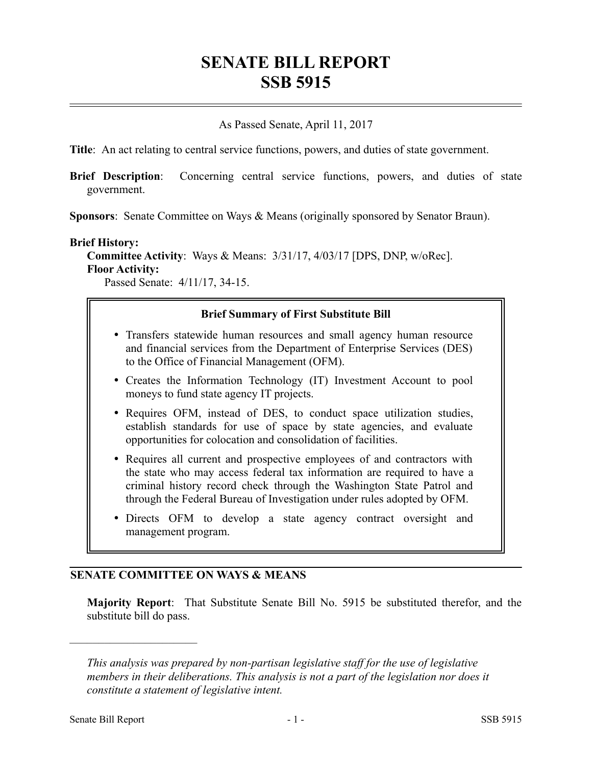# **SENATE BILL REPORT SSB 5915**

## As Passed Senate, April 11, 2017

**Title**: An act relating to central service functions, powers, and duties of state government.

**Brief Description**: Concerning central service functions, powers, and duties of state government.

**Sponsors**: Senate Committee on Ways & Means (originally sponsored by Senator Braun).

#### **Brief History:**

**Committee Activity**: Ways & Means: 3/31/17, 4/03/17 [DPS, DNP, w/oRec]. **Floor Activity:**

Passed Senate: 4/11/17, 34-15.

## **Brief Summary of First Substitute Bill**

- Transfers statewide human resources and small agency human resource and financial services from the Department of Enterprise Services (DES) to the Office of Financial Management (OFM).
- Creates the Information Technology (IT) Investment Account to pool moneys to fund state agency IT projects.
- Requires OFM, instead of DES, to conduct space utilization studies, establish standards for use of space by state agencies, and evaluate opportunities for colocation and consolidation of facilities.
- Requires all current and prospective employees of and contractors with the state who may access federal tax information are required to have a criminal history record check through the Washington State Patrol and through the Federal Bureau of Investigation under rules adopted by OFM.
- Directs OFM to develop a state agency contract oversight and management program.

### **SENATE COMMITTEE ON WAYS & MEANS**

**Majority Report**: That Substitute Senate Bill No. 5915 be substituted therefor, and the substitute bill do pass.

––––––––––––––––––––––

*This analysis was prepared by non-partisan legislative staff for the use of legislative members in their deliberations. This analysis is not a part of the legislation nor does it constitute a statement of legislative intent.*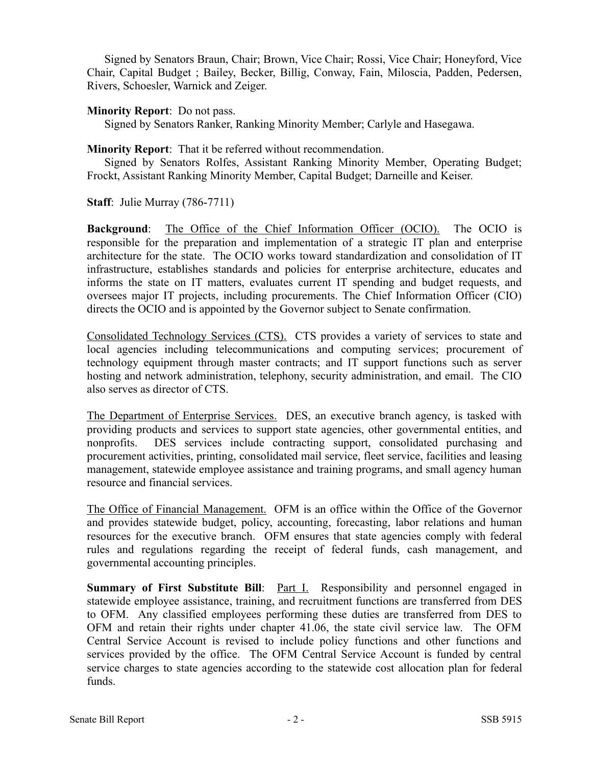Signed by Senators Braun, Chair; Brown, Vice Chair; Rossi, Vice Chair; Honeyford, Vice Chair, Capital Budget ; Bailey, Becker, Billig, Conway, Fain, Miloscia, Padden, Pedersen, Rivers, Schoesler, Warnick and Zeiger.

#### **Minority Report**: Do not pass.

Signed by Senators Ranker, Ranking Minority Member; Carlyle and Hasegawa.

#### **Minority Report**: That it be referred without recommendation.

Signed by Senators Rolfes, Assistant Ranking Minority Member, Operating Budget; Frockt, Assistant Ranking Minority Member, Capital Budget; Darneille and Keiser.

**Staff**: Julie Murray (786-7711)

**Background**: The Office of the Chief Information Officer (OCIO). The OCIO is responsible for the preparation and implementation of a strategic IT plan and enterprise architecture for the state. The OCIO works toward standardization and consolidation of IT infrastructure, establishes standards and policies for enterprise architecture, educates and informs the state on IT matters, evaluates current IT spending and budget requests, and oversees major IT projects, including procurements. The Chief Information Officer (CIO) directs the OCIO and is appointed by the Governor subject to Senate confirmation.

Consolidated Technology Services (CTS). CTS provides a variety of services to state and local agencies including telecommunications and computing services; procurement of technology equipment through master contracts; and IT support functions such as server hosting and network administration, telephony, security administration, and email. The CIO also serves as director of CTS.

The Department of Enterprise Services. DES, an executive branch agency, is tasked with providing products and services to support state agencies, other governmental entities, and nonprofits. DES services include contracting support, consolidated purchasing and procurement activities, printing, consolidated mail service, fleet service, facilities and leasing management, statewide employee assistance and training programs, and small agency human resource and financial services.

The Office of Financial Management. OFM is an office within the Office of the Governor and provides statewide budget, policy, accounting, forecasting, labor relations and human resources for the executive branch. OFM ensures that state agencies comply with federal rules and regulations regarding the receipt of federal funds, cash management, and governmental accounting principles.

**Summary of First Substitute Bill:** <u>Part I.</u> Responsibility and personnel engaged in statewide employee assistance, training, and recruitment functions are transferred from DES to OFM. Any classified employees performing these duties are transferred from DES to OFM and retain their rights under chapter 41.06, the state civil service law. The OFM Central Service Account is revised to include policy functions and other functions and services provided by the office. The OFM Central Service Account is funded by central service charges to state agencies according to the statewide cost allocation plan for federal funds.